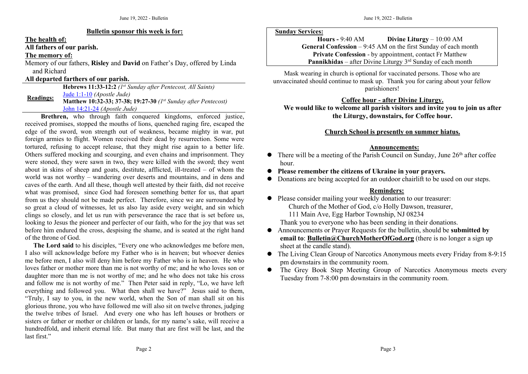#### **Bulletin sponsor this week is for:**

**The health of:**

**All fathers ofour parish.**

### **The memory of:**

Memory of our fathers, **Risley** and **David** on Father's Day, offered by Linda and Richard

#### **All departed farthers ofour parish.**

**Readings: Hebrews 11:33-12:2** *(1 st Sunday after Pentecost, All Saints)* Jude [1:1-10](https://churchmotherofgod.org/1825) *(Apostle Jude)* **Matthew 10:32-33; 37-38; 19:27-30** *(1 st Sunday after Pentecost)* John [14:21-24](https://churchmotherofgod.org/2272) *(Apostle Jude)*

**Brethren,** who through faith conquered kingdoms, enforced justice, received promises, stopped the mouths of lions, quenched raging fire, escaped the edge of the sword, won strength out of weakness, became mighty in war, put foreign armies to flight. Women received their dead by resurrection. Some were tortured, refusing to accept release, that they might rise again to a better life. Others suffered mocking and scourging, and even chains and imprisonment. They were stoned, they were sawn in two, they were killed with the sword; they went about in skins of sheep and goats, destitute, afflicted, ill-treated – of whom the world was not worthy – wandering over deserts and mountains, and in dens and caves of the earth. And all these, though well attested by their faith, did not receive what was promised, since God had foreseen something better for us, that apart from us they should not be made perfect. Therefore, since we are surrounded by so great a cloud of witnesses, let us also lay aside every weight, and sin which clings so closely, and let us run with perseverance the race that is set before us, looking to Jesus the pioneer and perfecter of our faith, who for the joy that was set before him endured the cross, despising the shame, and is seated at the right hand of the throne of God.

The Lord said to his disciples, "Every one who acknowledges me before men, I also will acknowledge before my Father who is in heaven; but whoever denies me before men, I also will deny him before my Father who is in heaven. He who loves father or mother more than me is not worthy of me; and he who loves son or daughter more than me is not worthy of me; and he who does not take his cross and follow me is not worthy of me." Then Peter said in reply, "Lo, we have left everything and followed you. What then shall we have?" Jesus said to them, "Truly, I say to you, in the new world, when the Son of man shall sit on his glorious throne, you who have followed me will also sit on twelve thrones, judging the twelve tribes of Israel. And every one who has left houses or brothers or sisters or father or mother or children or lands, for my name's sake, will receive a hundredfold, and inherit eternal life. But many that are first will be last, and the last first."

#### **Sunday Services:**

**Hours -** 9:40 AM **Divine Liturgy** – 10:00 AM **General Confession** – 9:45 AM on the first Sunday of each month **Private Confession** - by appointment, contact Fr Matthew **Pannikhidas** – after Divine Liturgy 3<sup>rd</sup> Sunday of each month

Mask wearing in church is optional for vaccinated persons. Those who are unvaccinated should continue to mask up. Thank you forcaring about your fellow parishioners!

### **Coffee hour - after Divine Liturgy.**

**We would like to welcome all parish visitors and invite you tojoin us after the Liturgy, downstairs, for Coffee hour.**

## **Church School is presently on summer hiatus.**

### **Announcements:**

- $\bullet$  There will be a meeting of the Parish Council on Sunday, June 26<sup>th</sup> after coffee hour.
- **Please remember the citizens ofUkraine in your prayers.**
- Donations are being accepted for an outdoor chairlift to be used on our steps.

# **Reminders:**

- Please consider mailing your weekly donation to our treasurer: Church of the Mother of God, c/o Holly Dawson, treasurer, 111 Main Ave, Egg Harbor Township, NJ 08234 Thank you to everyone who has been sending in their donations.
- Announcements orPrayer Requests for the bulletin, should be **submitted by email to**: **[Bulletin@ChurchMotherOfGod.org](mailto:Bulletin@ChurchMotherOfGod.org)** (there is no longer a sign up sheet at the candle stand).
- The Living Clean Group of Narcotics Anonymous meets every Friday from 8-9:15 pm downstairs in the community room.
- The Grey Book Step Meeting Group of Narcotics Anonymous meets every Tuesday from 7-8:00 pm downstairs in the community room.